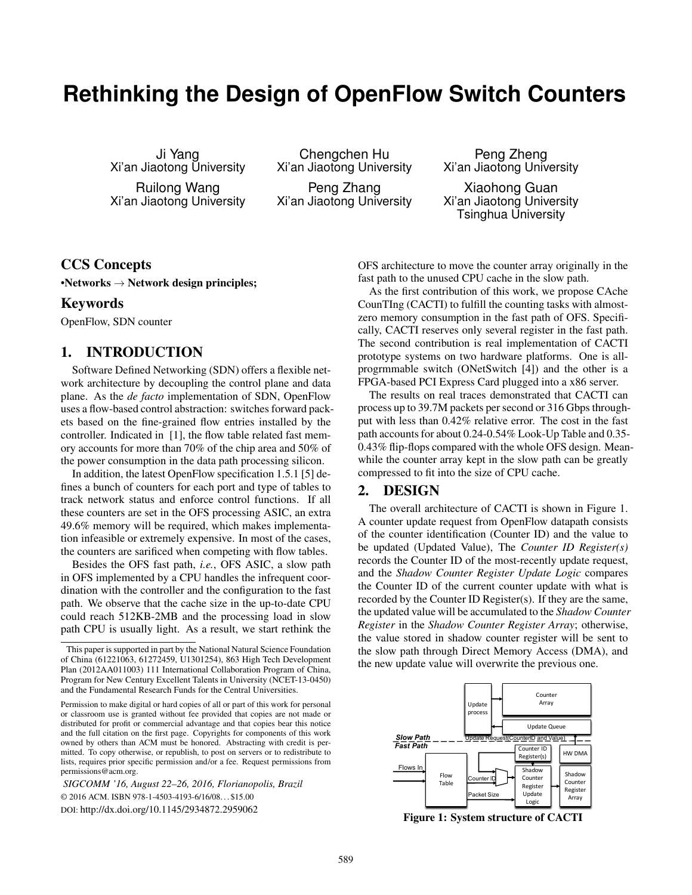# **Rethinking the Design of OpenFlow Switch Counters**

Ji Yang Xi'an Jiaotong University Ruilong Wang Xi'an Jiaotong University

Chengchen Hu Xi'an Jiaotong University Peng Zhang Xi'an Jiaotong University

Peng Zheng Xi'an Jiaotong University

Xiaohong Guan Xi'an Jiaotong University Tsinghua University

## CCS Concepts

•Networks  $\rightarrow$  Network design principles;

#### Keywords

OpenFlow, SDN counter

### 1. INTRODUCTION

Software Defined Networking (SDN) offers a flexible network architecture by decoupling the control plane and data plane. As the *de facto* implementation of SDN, OpenFlow uses a flow-based control abstraction: switches forward packets based on the fine-grained flow entries installed by the controller. Indicated in [1], the flow table related fast memory accounts for more than 70% of the chip area and 50% of the power consumption in the data path processing silicon.

In addition, the latest OpenFlow specification 1.5.1 [5] defines a bunch of counters for each port and type of tables to track network status and enforce control functions. If all these counters are set in the OFS processing ASIC, an extra 49.6% memory will be required, which makes implementation infeasible or extremely expensive. In most of the cases, the counters are sarificed when competing with flow tables.

Besides the OFS fast path, *i.e.*, OFS ASIC, a slow path in OFS implemented by a CPU handles the infrequent coordination with the controller and the configuration to the fast path. We observe that the cache size in the up-to-date CPU could reach 512KB-2MB and the processing load in slow path CPU is usually light. As a result, we start rethink the

*SIGCOMM '16, August 22–26, 2016, Florianopolis, Brazil* © 2016 ACM. ISBN 978-1-4503-4193-6/16/08. . . \$15.00 DOI: http://dx.doi.org/10.1145/2934872.2959062

OFS architecture to move the counter array originally in the fast path to the unused CPU cache in the slow path.

As the first contribution of this work, we propose CAche CounTIng (CACTI) to fulfill the counting tasks with almostzero memory consumption in the fast path of OFS. Specifically, CACTI reserves only several register in the fast path. The second contribution is real implementation of CACTI prototype systems on two hardware platforms. One is allprogrmmable switch (ONetSwitch [4]) and the other is a FPGA-based PCI Express Card plugged into a x86 server.

The results on real traces demonstrated that CACTI can process up to 39.7M packets per second or 316 Gbps throughput with less than 0.42% relative error. The cost in the fast path accounts for about 0.24-0.54% Look-Up Table and 0.35- 0.43% flip-flops compared with the whole OFS design. Meanwhile the counter array kept in the slow path can be greatly compressed to fit into the size of CPU cache.

## 2. DESIGN

The overall architecture of CACTI is shown in Figure 1. A counter update request from OpenFlow datapath consists of the counter identification (Counter ID) and the value to be updated (Updated Value), The *Counter ID Register(s)* records the Counter ID of the most-recently update request, and the *Shadow Counter Register Update Logic* compares the Counter ID of the current counter update with what is recorded by the Counter ID Register(s). If they are the same, the updated value will be accumulated to the *Shadow Counter Register* in the *Shadow Counter Register Array*; otherwise, the value stored in shadow counter register will be sent to the slow path through Direct Memory Access (DMA), and the new update value will overwrite the previous one.



Figure 1: System structure of CACTI

This paper is supported in part by the National Natural Science Foundation of China (61221063, 61272459, U1301254), 863 High Tech Development Plan (2012AA011003) 111 International Collaboration Program of China, Program for New Century Excellent Talents in University (NCET-13-0450) and the Fundamental Research Funds for the Central Universities.

Permission to make digital or hard copies of all or part of this work for personal or classroom use is granted without fee provided that copies are not made or distributed for profit or commercial advantage and that copies bear this notice and the full citation on the first page. Copyrights for components of this work owned by others than ACM must be honored. Abstracting with credit is permitted. To copy otherwise, or republish, to post on servers or to redistribute to lists, requires prior specific permission and/or a fee. Request permissions from permissions@acm.org.